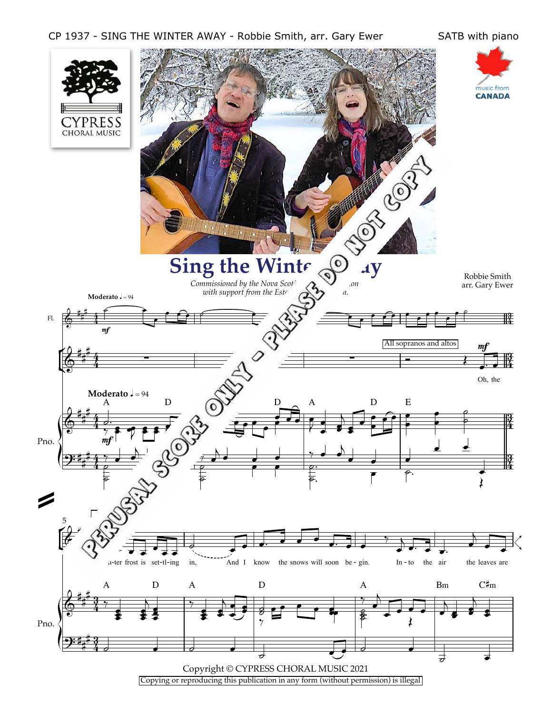## CP 1937 - SING THE WINTER AWAY - Robbie Smith, arr. Gary Ewer SATB with piano

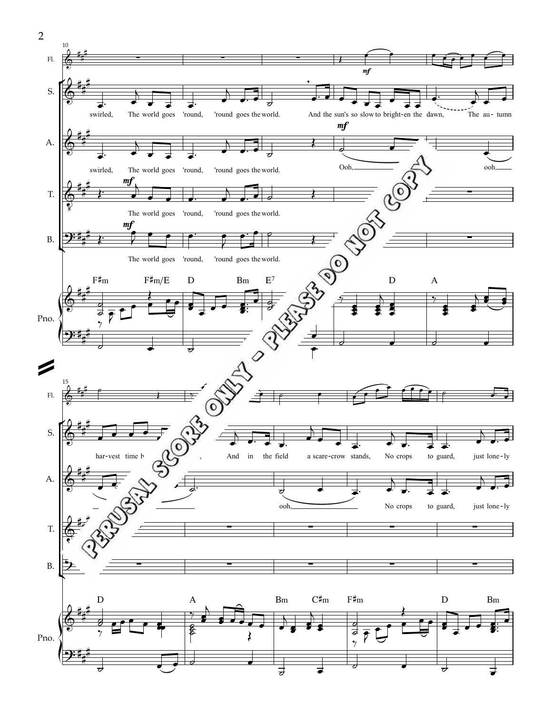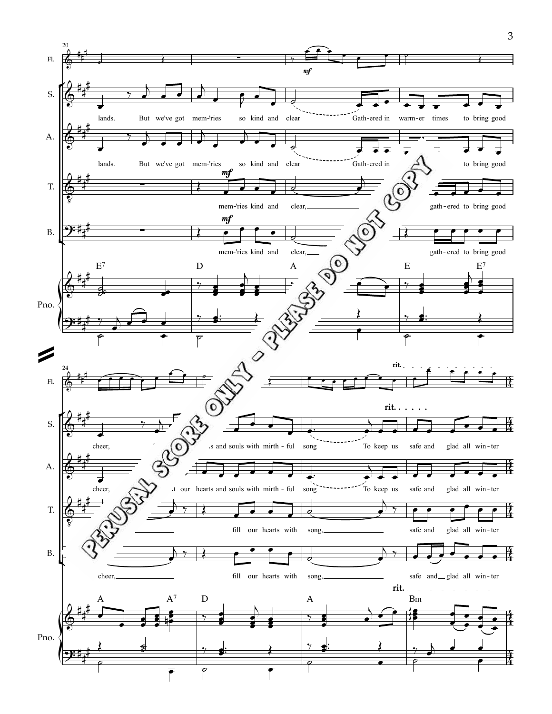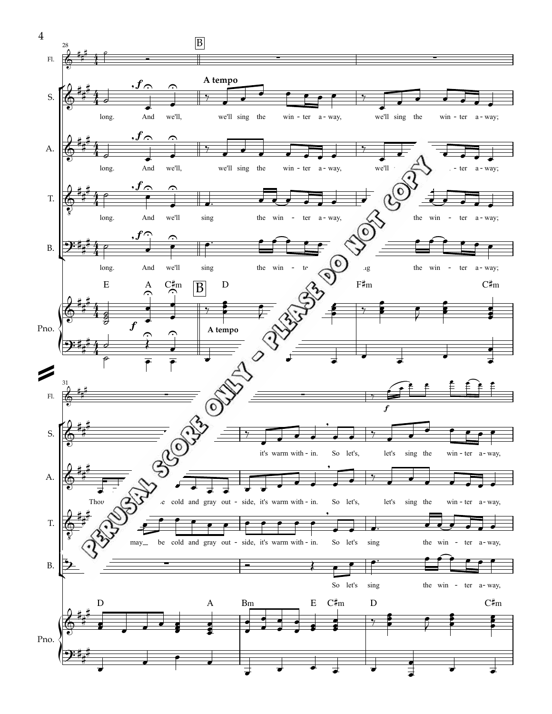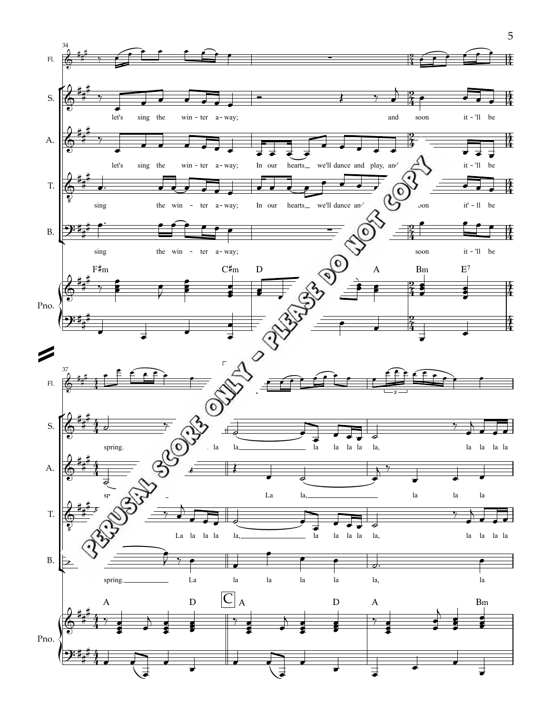

5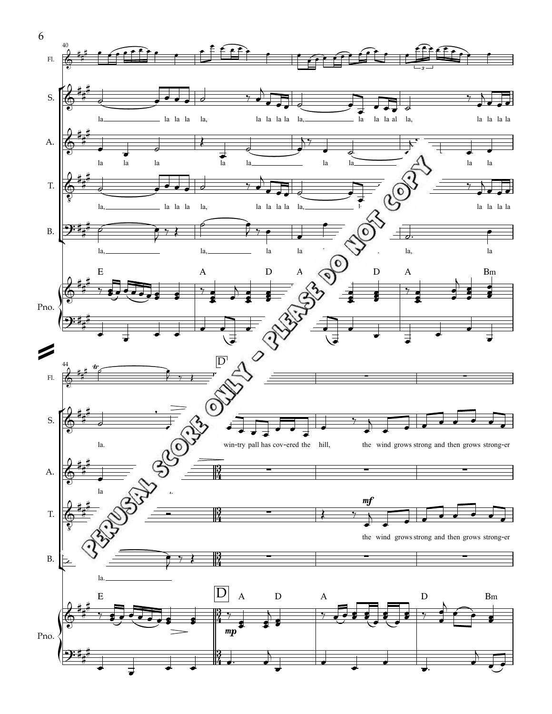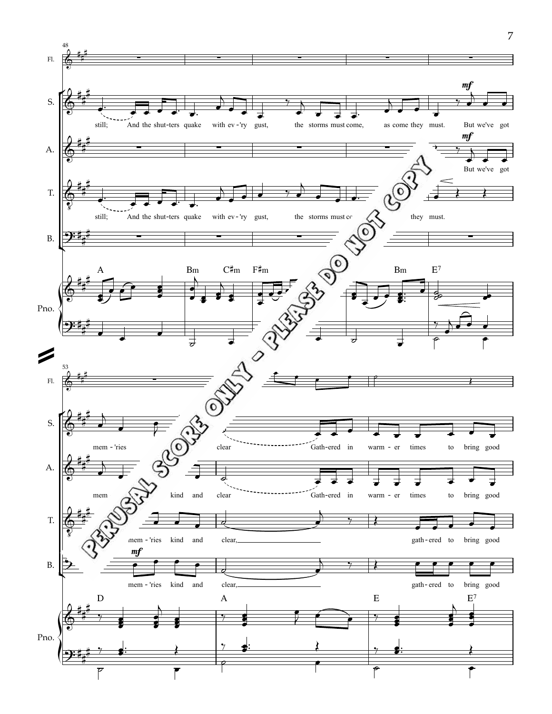![](_page_6_Figure_0.jpeg)

7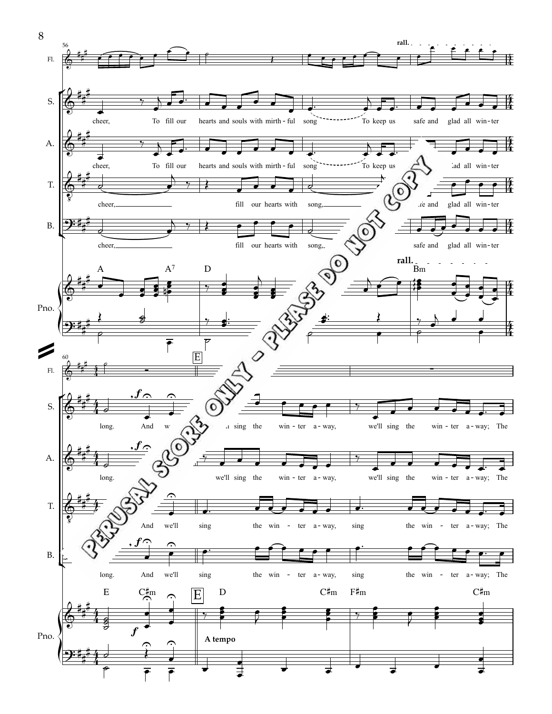![](_page_7_Figure_0.jpeg)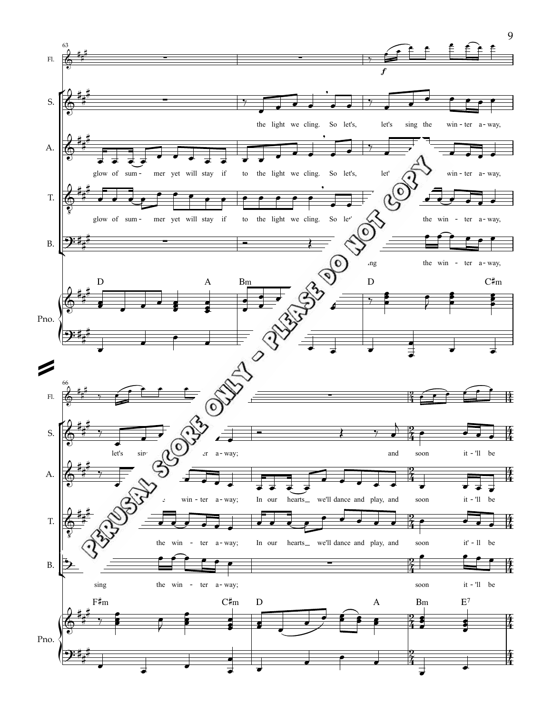![](_page_8_Figure_0.jpeg)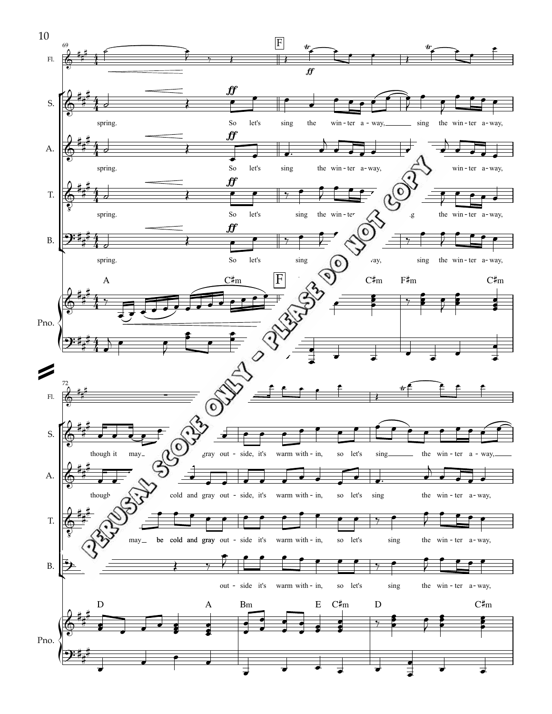![](_page_9_Figure_0.jpeg)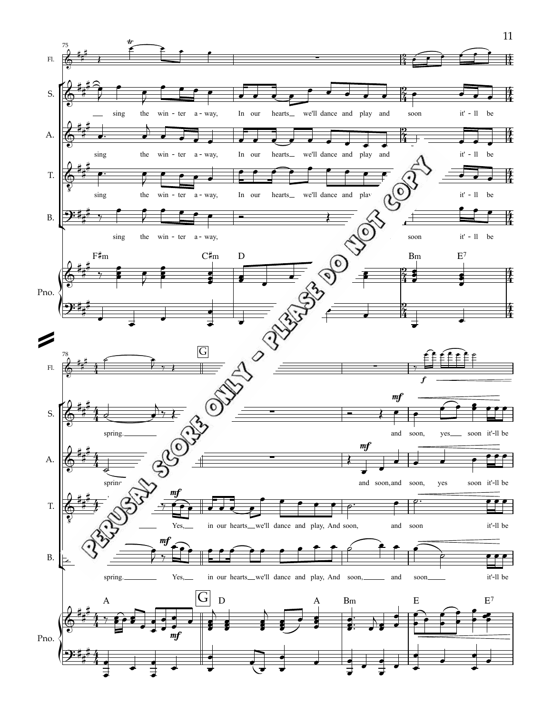![](_page_10_Figure_0.jpeg)